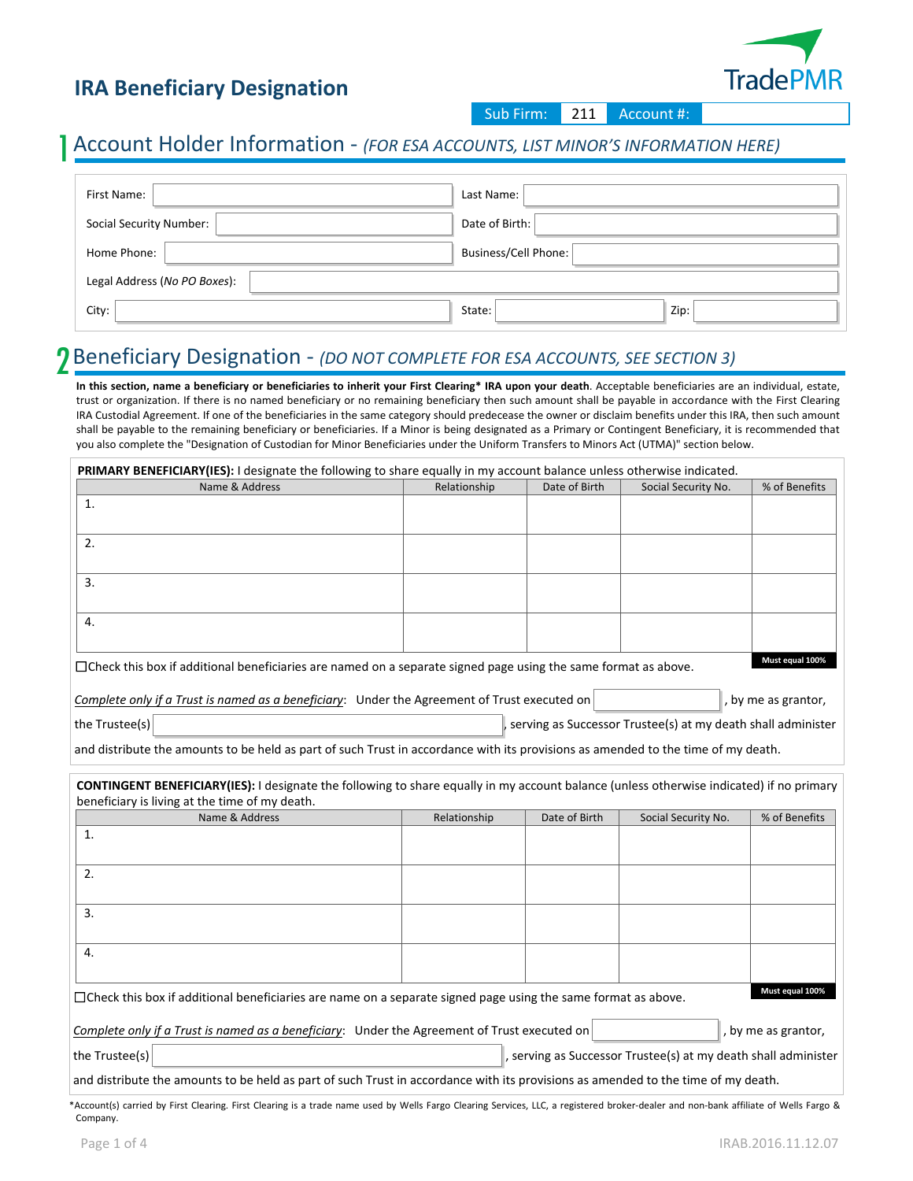### **IRA Beneficiary Designation**



Sub Firm: 211 Account #:

#### 1 Account Holder Information - *(FOR ESA ACCOUNTS, LIST MINOR'S INFORMATION HERE)*

| First Name:                  | Last Name:                  |
|------------------------------|-----------------------------|
| Social Security Number:      | Date of Birth:              |
| Home Phone:                  | <b>Business/Cell Phone:</b> |
| Legal Address (No PO Boxes): |                             |
| City:                        | Zip:<br>State:              |

#### 2 Beneficiary Designation - *(DO NOT COMPLETE FOR ESA ACCOUNTS, SEE SECTION 3)*

**In this section, name a beneficiary or beneficiaries to inherit your First Clearing\* IRA upon your death**. Acceptable beneficiaries are an individual, estate, trust or organization. If there is no named beneficiary or no remaining beneficiary then such amount shall be payable in accordance with the First Clearing IRA Custodial Agreement. If one of the beneficiaries in the same category should predecease the owner or disclaim benefits under this IRA, then such amount shall be payable to the remaining beneficiary or beneficiaries. If a Minor is being designated as a Primary or Contingent Beneficiary, it is recommended that you also complete the "Designation of Custodian for Minor Beneficiaries under the Uniform Transfers to Minors Act (UTMA)" section below.

| Name & Address                                                                                                                                  | Relationship | Date of Birth | Social Security No.                                          | % of Benefits       |
|-------------------------------------------------------------------------------------------------------------------------------------------------|--------------|---------------|--------------------------------------------------------------|---------------------|
| 1.                                                                                                                                              |              |               |                                                              |                     |
| 2.                                                                                                                                              |              |               |                                                              |                     |
| 3.                                                                                                                                              |              |               |                                                              |                     |
|                                                                                                                                                 |              |               |                                                              |                     |
| 4.                                                                                                                                              |              |               |                                                              |                     |
| □Check this box if additional beneficiaries are named on a separate signed page using the same format as above.                                 |              |               |                                                              | Must equal 100%     |
| Complete only if a Trust is named as a beneficiary: Under the Agreement of Trust executed on                                                    |              |               |                                                              | , by me as grantor, |
| the Trustee(s)                                                                                                                                  |              |               | serving as Successor Trustee(s) at my death shall administer |                     |
| and distribute the amounts to be held as part of such Trust in accordance with its provisions as amended to the time of my death.               |              |               |                                                              |                     |
|                                                                                                                                                 |              |               |                                                              |                     |
| <b>CONTINGENT BENEFICIARY(IES):</b> I designate the following to share equally in my account balance (unless otherwise indicated) if no primary |              |               |                                                              |                     |
| beneficiary is living at the time of my death.                                                                                                  |              |               |                                                              |                     |
| Name & Address                                                                                                                                  | Relationship | Date of Birth | Social Security No.                                          | % of Benefits       |
|                                                                                                                                                 |              |               |                                                              |                     |
|                                                                                                                                                 |              |               |                                                              |                     |
|                                                                                                                                                 |              |               |                                                              |                     |
| $\mathbf{1}$<br>2.<br>$\overline{3}$ .                                                                                                          |              |               |                                                              |                     |
| 4.                                                                                                                                              |              |               |                                                              |                     |

the Trustee(s) , the Trustee(s) , serving as Successor Trustee(s) at my death shall administer

and distribute the amounts to be held as part of such Trust in accordance with its provisions as amended to the time of my death.

\*Account(s) carried by First Clearing. First Clearing is a trade name used by Wells Fargo Clearing Services, LLC, a registered broker-dealer and non-bank affiliate of Wells Fargo & Company.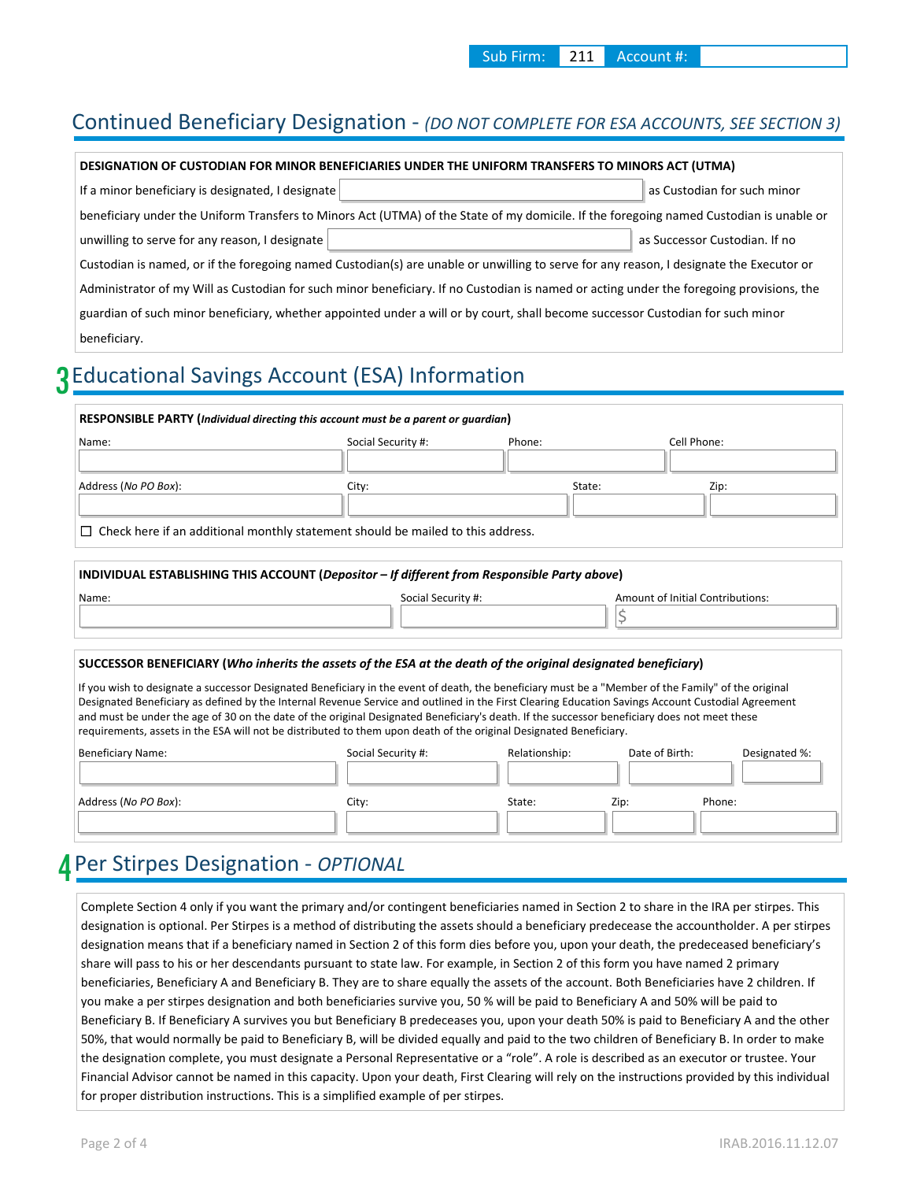#### Continued Beneficiary Designation - *(DO NOT COMPLETE FOR ESA ACCOUNTS, SEE SECTION 3)*

| DESIGNATION OF CUSTODIAN FOR MINOR BENEFICIARIES UNDER THE UNIFORM TRANSFERS TO MINORS ACT (UTMA)                                        |                               |  |  |  |
|------------------------------------------------------------------------------------------------------------------------------------------|-------------------------------|--|--|--|
| If a minor beneficiary is designated, I designate                                                                                        | as Custodian for such minor   |  |  |  |
| beneficiary under the Uniform Transfers to Minors Act (UTMA) of the State of my domicile. If the foregoing named Custodian is unable or  |                               |  |  |  |
| unwilling to serve for any reason, I designate                                                                                           | as Successor Custodian. If no |  |  |  |
| Custodian is named, or if the foregoing named Custodian(s) are unable or unwilling to serve for any reason, I designate the Executor or  |                               |  |  |  |
| Administrator of my Will as Custodian for such minor beneficiary. If no Custodian is named or acting under the foregoing provisions, the |                               |  |  |  |
| guardian of such minor beneficiary, whether appointed under a will or by court, shall become successor Custodian for such minor          |                               |  |  |  |
| beneficiary.                                                                                                                             |                               |  |  |  |

# 3 Educational Savings Account (ESA) Information

| Name:                | Social Security #:                                                                           | Phone: | Cell Phone:                      |
|----------------------|----------------------------------------------------------------------------------------------|--------|----------------------------------|
| Address (No PO Box): | City:                                                                                        | State: | Zip:                             |
|                      | $\Box$ Check here if an additional monthly statement should be mailed to this address.       |        |                                  |
|                      | INDIVIDUAL ESTABLISHING THIS ACCOUNT (Depositor - If different from Responsible Party above) |        |                                  |
| Name:                | Social Security #:                                                                           |        | Amount of Initial Contributions: |

#### **SUCCESSOR BENEFICIARY (***Who inherits the assets of the ESA at the death of the original designated beneficiary***)**

If you wish to designate a successor Designated Beneficiary in the event of death, the beneficiary must be a "Member of the Family" of the original Designated Beneficiary as defined by the Internal Revenue Service and outlined in the First Clearing Education Savings Account Custodial Agreement and must be under the age of 30 on the date of the original Designated Beneficiary's death. If the successor beneficiary does not meet these requirements, assets in the ESA will not be distributed to them upon death of the original Designated Beneficiary.

| Beneficiary Name:             | Social Security #: | Relationship: | Date of Birth: | Designated %: |
|-------------------------------|--------------------|---------------|----------------|---------------|
|                               |                    |               |                |               |
|                               |                    |               |                |               |
| Address ( <i>No PO Box</i> ): | City:              | State:        | Phone:<br>Zip: |               |
|                               |                    |               |                |               |
|                               |                    |               |                |               |

# 4 Per Stirpes Designation - *OPTIONAL*

Complete Section 4 only if you want the primary and/or contingent beneficiaries named in Section 2 to share in the IRA per stirpes. This designation is optional. Per Stirpes is a method of distributing the assets should a beneficiary predecease the accountholder. A per stirpes designation means that if a beneficiary named in Section 2 of this form dies before you, upon your death, the predeceased beneficiary's share will pass to his or her descendants pursuant to state law. For example, in Section 2 of this form you have named 2 primary beneficiaries, Beneficiary A and Beneficiary B. They are to share equally the assets of the account. Both Beneficiaries have 2 children. If you make a per stirpes designation and both beneficiaries survive you, 50 % will be paid to Beneficiary A and 50% will be paid to Beneficiary B. If Beneficiary A survives you but Beneficiary B predeceases you, upon your death 50% is paid to Beneficiary A and the other 50%, that would normally be paid to Beneficiary B, will be divided equally and paid to the two children of Beneficiary B. In order to make the designation complete, you must designate a Personal Representative or a "role". A role is described as an executor or trustee. Your Financial Advisor cannot be named in this capacity. Upon your death, First Clearing will rely on the instructions provided by this individual for proper distribution instructions. This is a simplified example of per stirpes.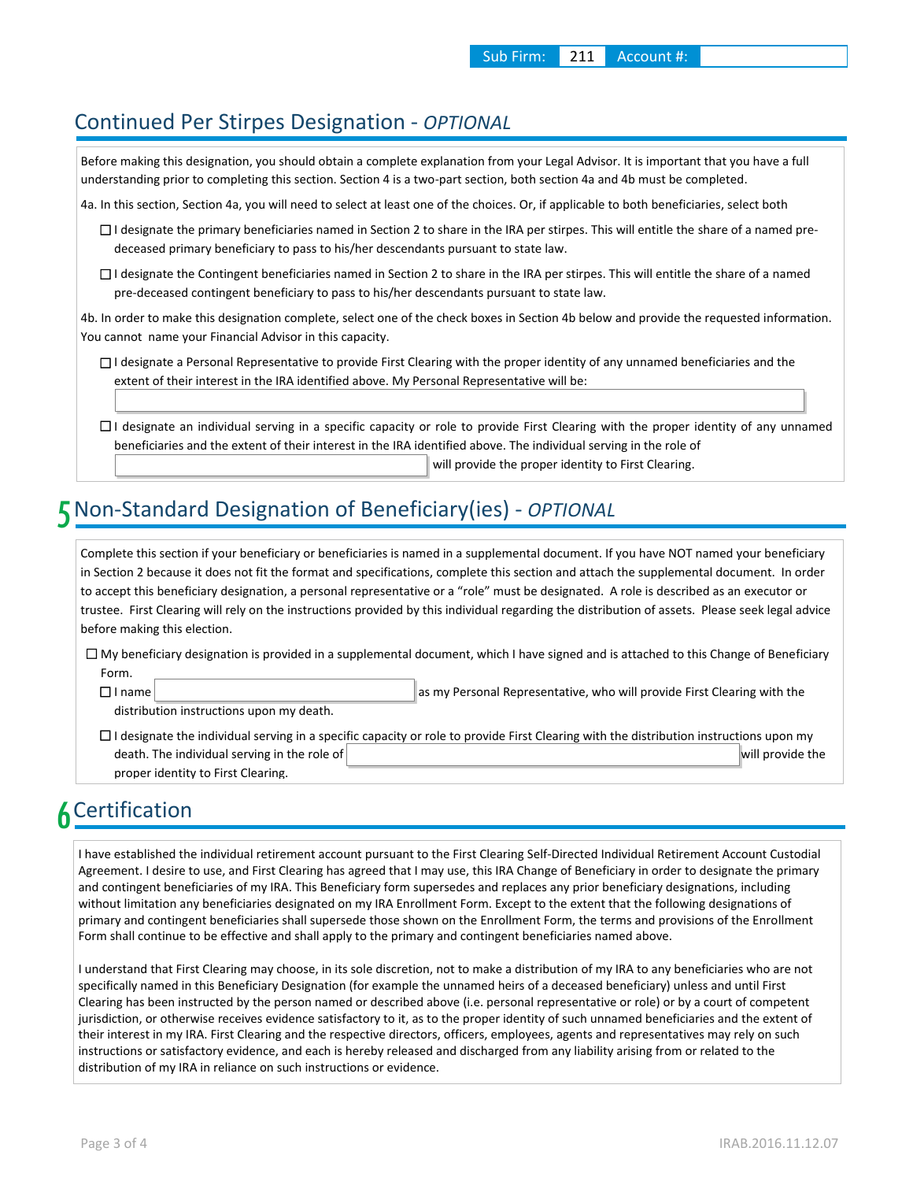#### Continued Per Stirpes Designation - *OPTIONAL*

Before making this designation, you should obtain a complete explanation from your Legal Advisor. It is important that you have a full understanding prior to completing this section. Section 4 is a two-part section, both section 4a and 4b must be completed.

4a. In this section, Section 4a, you will need to select at least one of the choices. Or, if applicable to both beneficiaries, select both

- □ I designate the primary beneficiaries named in Section 2 to share in the IRA per stirpes. This will entitle the share of a named predeceased primary beneficiary to pass to his/her descendants pursuant to state law.
- □ I designate the Contingent beneficiaries named in Section 2 to share in the IRA per stirpes. This will entitle the share of a named pre-deceased contingent beneficiary to pass to his/her descendants pursuant to state law.

4b. In order to make this designation complete, select one of the check boxes in Section 4b below and provide the requested information. You cannot name your Financial Advisor in this capacity.

- □ I designate a Personal Representative to provide First Clearing with the proper identity of any unnamed beneficiaries and the extent of their interest in the IRA identified above. My Personal Representative will be:
- □ I designate an individual serving in a specific capacity or role to provide First Clearing with the proper identity of any unnamed beneficiaries and the extent of their interest in the IRA identified above. The individual serving in the role of will provide the proper identity to First Clearing.

# 5 Non-Standard Designation of Beneficiary(ies) - *OPTIONAL*

Complete this section if your beneficiary or beneficiaries is named in a supplemental document. If you have NOT named your beneficiary in Section 2 because it does not fit the format and specifications, complete this section and attach the supplemental document. In order to accept this beneficiary designation, a personal representative or a "role" must be designated. A role is described as an executor or trustee. First Clearing will rely on the instructions provided by this individual regarding the distribution of assets. Please seek legal advice before making this election.

My beneficiary designation is provided in a supplemental document, which I have signed and is attached to this Change of Beneficiary ☐ Form.

☐

as my Personal Representative, who will provide First Clearing with the

distribution instructions upon my death.

 $\Box$  I designate the individual serving in a specific capacity or role to provide First Clearing with the distribution instructions upon my death. The individual serving in the role of will provide the will provide the will provide the proper identity to First Clearing.

# 6 Certification

I have established the individual retirement account pursuant to the First Clearing Self-Directed Individual Retirement Account Custodial Agreement. I desire to use, and First Clearing has agreed that I may use, this IRA Change of Beneficiary in order to designate the primary and contingent beneficiaries of my IRA. This Beneficiary form supersedes and replaces any prior beneficiary designations, including without limitation any beneficiaries designated on my IRA Enrollment Form. Except to the extent that the following designations of primary and contingent beneficiaries shall supersede those shown on the Enrollment Form, the terms and provisions of the Enrollment Form shall continue to be effective and shall apply to the primary and contingent beneficiaries named above.

I understand that First Clearing may choose, in its sole discretion, not to make a distribution of my IRA to any beneficiaries who are not specifically named in this Beneficiary Designation (for example the unnamed heirs of a deceased beneficiary) unless and until First Clearing has been instructed by the person named or described above (i.e. personal representative or role) or by a court of competent jurisdiction, or otherwise receives evidence satisfactory to it, as to the proper identity of such unnamed beneficiaries and the extent of their interest in my IRA. First Clearing and the respective directors, officers, employees, agents and representatives may rely on such instructions or satisfactory evidence, and each is hereby released and discharged from any liability arising from or related to the distribution of my IRA in reliance on such instructions or evidence.